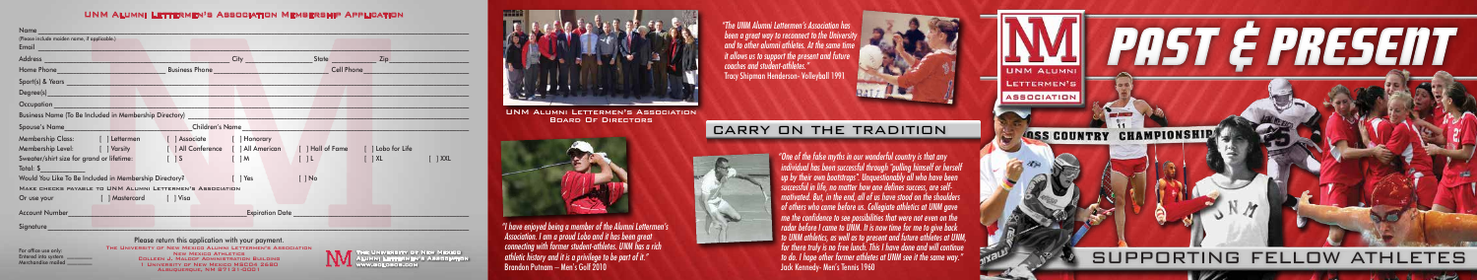*" I have enjoyed being a member of the Alumni Lettermen's Association. I am a proud Lobo and it has been great connecting with former student-athletes. UNM has a rich athletic history and it is a privilege to be part of it."*  Brandon Putnam – Men's Golf 2010

*" The UNM Alumni Lettermen's Association has been a great way to reconnect to the University and to other alumni athletes. At the same time it allows us to support the present and future coaches and student-athletes."* Tracy Shipman Henderson- Volleyball 1991

> *" One of the false myths in our wonderful country is that any individual has been successful through "pulling himself or herself up by their own bootstraps". Unquestionably all who have been successful in life, no matter how one defines success, are selfmotivated. But, in the end, all of us have stood on the shoulders of others who came before us. Collegiate athletics at UNM gave me the confidence to see possibilities that were not even on the radar before I came to UNM. It is now time for me to give back to UNM athletics, as well as to present and future athletes at UNM, for there truly is no free lunch. This I have done and will continue to do. I hope other former athletes at UNM see it the same way."* Jack Kennedy- Men's Tennis 1960

UNM Alumni Lettermen's Association Board Of Directors



## carry on the tradition

The University of New Mexico Alumni Lettermen's Association www.golobos.com

| Name                                                                                                                                                                                                                               |                         |                                                                                                                     |                                         |                                    |                                                                                                                    |  |  |  |  |  |
|------------------------------------------------------------------------------------------------------------------------------------------------------------------------------------------------------------------------------------|-------------------------|---------------------------------------------------------------------------------------------------------------------|-----------------------------------------|------------------------------------|--------------------------------------------------------------------------------------------------------------------|--|--|--|--|--|
| (Please include maiden name, if applicable.)                                                                                                                                                                                       |                         |                                                                                                                     |                                         |                                    |                                                                                                                    |  |  |  |  |  |
|                                                                                                                                                                                                                                    |                         |                                                                                                                     |                                         |                                    |                                                                                                                    |  |  |  |  |  |
| Address and the contract of the contract of the contract of the contract of the contract of the contract of the contract of the contract of the contract of the contract of the contract of the contract of the contract of the    |                         |                                                                                                                     | City                                    |                                    | State <b>Example 2</b> State <b>Example 2</b> State <b>Example 2</b> State <b>Example 2</b> State <b>Example 2</b> |  |  |  |  |  |
|                                                                                                                                                                                                                                    |                         | Business Phone <u>Alexander States and Theory and Theory and Theory and Theory and Theory and Theory and Theory</u> |                                         | Cell Phone <b>Cell Phone</b>       |                                                                                                                    |  |  |  |  |  |
| Sport(s) & Years and the state of the state of the state of the state of the state of the state of the state of the state of the state of the state of the state of the state of the state of the state of the state of the st     |                         |                                                                                                                     |                                         |                                    |                                                                                                                    |  |  |  |  |  |
| Degree(s) and the contract of the contract of the contract of the contract of the contract of the contract of the contract of the contract of the contract of the contract of the contract of the contract of the contract of      |                         |                                                                                                                     |                                         |                                    |                                                                                                                    |  |  |  |  |  |
| <b>Occupation Contained Account Contained Account Contained Account Contained Account Contained Account Contained Account Contained Account Contained Account Contained Account Contained Account Contained Account Contained </b> |                         |                                                                                                                     |                                         |                                    |                                                                                                                    |  |  |  |  |  |
| Business Name (To Be Included in Membership Directory)                                                                                                                                                                             |                         |                                                                                                                     |                                         |                                    |                                                                                                                    |  |  |  |  |  |
| Spouse's Name and the state of the state of the state of the state of the state of the state of the state of the                                                                                                                   |                         | Children's Name                                                                                                     |                                         |                                    |                                                                                                                    |  |  |  |  |  |
| Membership Class: [ ] Lettermen [ ] Associate [ ] Honorary                                                                                                                                                                         |                         |                                                                                                                     |                                         |                                    |                                                                                                                    |  |  |  |  |  |
| Membership Level: [ ] Varsity [ ] All Conference [ ] All American                                                                                                                                                                  |                         |                                                                                                                     |                                         | [ ] Hall of Fame [ ] Lobo for Life |                                                                                                                    |  |  |  |  |  |
| Sweater/shirt size for grand or lifetime: [15]                                                                                                                                                                                     |                         |                                                                                                                     | $\begin{bmatrix} M & & & \end{bmatrix}$ | 11                                 | $\lceil \; \rceil$ XL<br>$\lceil$ $\rceil$ XXL                                                                     |  |  |  |  |  |
| Total: \$ Production of the Second Second Second Second Second Second Second Second Second Second Second Second                                                                                                                    |                         |                                                                                                                     |                                         |                                    |                                                                                                                    |  |  |  |  |  |
| Would You Like To Be Included in Membership Directory?                                                                                                                                                                             |                         |                                                                                                                     | $\lceil$   Yes                          | $[$ $]$ No                         |                                                                                                                    |  |  |  |  |  |
| MAKE CHECKS PAYABLE TO UNM ALUMNI LETTERMEN'S ASSOCIATION                                                                                                                                                                          |                         |                                                                                                                     |                                         |                                    |                                                                                                                    |  |  |  |  |  |
| Or use your                                                                                                                                                                                                                        | [ ] Mastercard [ ] Visa |                                                                                                                     |                                         |                                    |                                                                                                                    |  |  |  |  |  |
| <b>Account Number</b>                                                                                                                                                                                                              |                         |                                                                                                                     |                                         | <b>Expiration Date</b>             |                                                                                                                    |  |  |  |  |  |
| Signature                                                                                                                                                                                                                          |                         |                                                                                                                     |                                         |                                    |                                                                                                                    |  |  |  |  |  |

Please return this application with your payment. THE UNIVERSITY OF NEW MEXICO ALUMNI LETTERMEN'S ASSOCIATION<br>NEW MEXICO ATHLETICS<br>COLLEEN J. MALOOF ADMINISTRATION BUILDING 1 University of New Mexico MSC04 2680 Albuquerque, NM 87131-0001



For office use only: Entered into system \_\_\_\_\_\_\_\_\_ Merchandise mailed \_\_\_\_\_\_\_\_\_\_

## UNM Alumni Lettermen's Association Membership Application



 $\mathcal{W}$ 

**September**